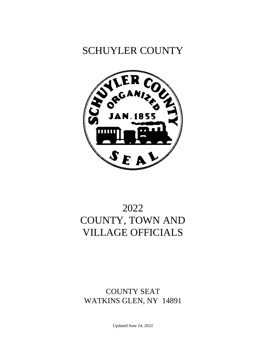# SCHUYLER COUNTY



# 2022 COUNTY, TOWN AND VILLAGE OFFICIALS

## COUNTY SEAT WATKINS GLEN, NY 14891

Updated June 24, 2022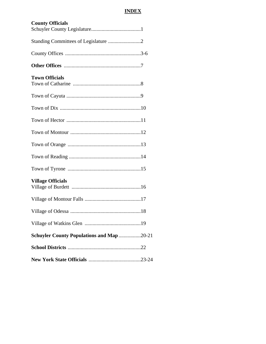## **INDEX**

| <b>County Officials</b>                   |
|-------------------------------------------|
|                                           |
|                                           |
|                                           |
| <b>Town Officials</b>                     |
|                                           |
|                                           |
|                                           |
|                                           |
|                                           |
|                                           |
|                                           |
| <b>Village Officials</b>                  |
|                                           |
| Village of Odessa                         |
|                                           |
| Schuyler County Populations and Map 20-21 |
|                                           |
|                                           |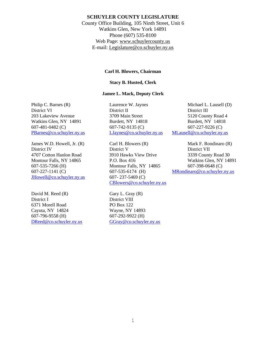### **SCHUYLER COUNTY LEGISLATURE**

County Office Building, 105 Ninth Street, Unit 6 Watkins Glen, New York 14891 Phone (607) 535-8100 Web Page: [www.schuylercounty.us](http://www.schuylercounty.us/) E-mail: [Legislature@co.schuyler.ny.us](mailto:Legislature@co.schuyler.ny.us)

#### **Carl H. Blowers, Chairman**

### **Stacy B. Husted, Clerk**

### **Jamee L. Mack, Deputy Clerk**

Philip C. Barnes (R) Laurence W. Jaynes Michael L. Lausell (D)

James W.D. Howell, Jr. (R) Carl H. Blowers (R) Mark F. Rondinaro (R) [JHowell@co.schuyler.ny.us](mailto:JHowell@co.schuyler.ny.us)  $607 - 237 - 5469$  (C)

David M. Reed  $(R)$  Gary L. Gray  $(R)$ District I District VIII 6371 Morell Road PO Box 122 Cayuta, NY 14824 Wayne, NY 14893 607-796-9558 (H) 607-292-9922 (H) [DReed@co.schuyler.ny.us](mailto:DReed@co.schuyler.ny.us) [GGray@co.schuyler.ny.us](mailto:GGray@co.schuyler.ny.us)

District VI District II District II 203 Lakeview Avenue 3709 Main Street 5120 County Road 4 Watkins Glen, NY 14891 Burdett, NY 14818 Burdett, NY 14818 607-481-0482 (C) 607-742-9135 (C) 607-227-9226 (C) [PBarnes@co.schuyler.ny.us](mailto:PBarnes@co.schuyler.ny.us) [LJaynes@co.schuyler.ny.us](mailto:LJaynes@co.schuyler.ny.us) [MLausell@co.schuyler.ny.us](mailto:MLausell@co.schuyler.ny.us)

District IV District V District VII 4707 Cotton Hanlon Road 3910 Hawks View Drive 3339 County Road 30 607-535-7266 (H) Montour Falls, NY 14865 607-398-0648 (C) [CBlowers@co.schuyler.ny.us](mailto:CBlowers@co.schuyler.ny.us)

Montour Falls, NY 14865 P.O. Box 416 Watkins Glen, NY 14891 607-227-1141 (C) 607-535-6174 (H) [MRondinaro@co.schuyler.ny.us](mailto:MRondinaro@co.schuyler.ny.us)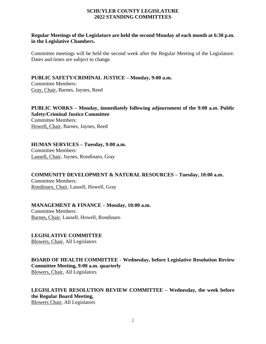### **SCHUYLER COUNTY LEGISLATURE 2022 STANDING COMMITTEES**

### **Regular Meetings of the Legislature are held the second Monday of each month at 6:30 p.m. in the Legislative Chambers.**

Committee meetings will be held the second week after the Regular Meeting of the Legislature. Dates and times are subject to change.

**PUBLIC SAFETY/CRIMINAL JUSTICE – Monday, 9:00 a.m.** Committee Members: Gray, Chair, Barnes, Jaynes, Reed

**PUBLIC WORKS – Monday, immediately following adjournment of the 9:00 a.m. Public Safety/Criminal Justice Committee** Committee Members: Howell, Chair, Barnes, Jaynes, Reed

**HUMAN SERVICES – Tuesday, 9:00 a.m.** Committee Members: Lausell, Chair, Jaynes, Rondinaro, Gray

**COMMUNITY DEVELOPMENT & NATURAL RESOURCES – Tuesday, 10:00 a.m.** Committee Members: Rondinaro, Chair, Lausell, Howell, Gray

**MANAGEMENT & FINANCE – Monday, 10:00 a.m.** Committee Members: Barnes, Chair, Lausell, Howell, Rondinaro

**LEGISLATIVE COMMITTEE** Blowers, Chair, All Legislators

**BOARD OF HEALTH COMMITTEE** - **Wednesday, before Legislative Resolution Review Committee Meeting, 9:00 a.m. quarterly**  Blowers, Chair, All Legislators

**LEGISLATIVE RESOLUTION REVIEW COMMITTEE – Wednesday, the week before the Regular Board Meeting,**  Blowers Chair, All Legislators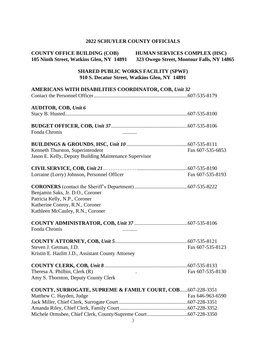### **2022 SCHUYLER COUNTY OFFICIALS**

| <b>COUNTY OFFICE BUILDING (COB)</b>      | <b>HUMAN SERVICES COMPLEX (HSC)</b>       |
|------------------------------------------|-------------------------------------------|
| 105 Ninth Street, Watkins Glen, NY 14891 | 323 Owego Street, Montour Falls, NY 14865 |

### **SHARED PUBLIC WORKS FACILITY (SPWF) 910 S. Decatur Street, Watkins Glen, NY 14891**

| AMERICANS WITH DISABILITIES COORDINATOR, COB, Unit 32                                                                                    |                  |
|------------------------------------------------------------------------------------------------------------------------------------------|------------------|
| <b>AUDITOR, COB, Unit 6</b>                                                                                                              |                  |
| Fonda Chronis                                                                                                                            |                  |
| Kenneth Thurston, Superintendent<br>Jason E. Kelly, Deputy Building Maintenance Supervisor                                               | Fax 607-535-6853 |
| Lorraine (Lorry) Johnson, Personnel Officer                                                                                              | Fax 607-535-8193 |
| Benjamin Saks, Jr. D.O., Coroner<br>Patricia Kelly, N.P., Coroner<br>Katherine Conroy, R.N., Coroner<br>Kathleen McCauley, R.N., Coroner |                  |
| Fonda Chronis<br>                                                                                                                        |                  |
| Steven J. Getman, J.D.<br>Kristin E. Hazlitt J.D., Assistant County Attorney                                                             | Fax 607-535-8123 |
| Theresa A. Philbin, Clerk (R)<br>Amy S. Thornton, Deputy County Clerk                                                                    | Fax 607-535-8130 |
| COUNTY, SURROGATE, SUPREME & FAMILY COURT, COB607-228-3351<br>Matthew C. Hayden, Judge                                                   | Fax 646-963-6590 |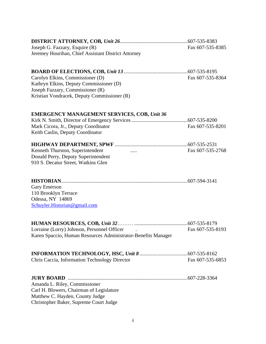| Joseph G. Fazzary, Esquire (R)                                | Fax 607-535-8385 |
|---------------------------------------------------------------|------------------|
| Jeremey Hourihan, Chief Assistant District Attorney           |                  |
|                                                               |                  |
| Carolyn Elkins, Commissioner (D)                              | Fax 607-535-8364 |
| Kathryn Elkins, Deputy Commissioner (D)                       |                  |
| Joseph Fazzary, Commissioner (R)                              |                  |
| Kristian Vondracek, Deputy Commissioner (R)                   |                  |
| <b>EMERGENCY MANAGEMENT SERVICES, COB, Unit 36</b>            |                  |
|                                                               |                  |
| Mark Cicora, Jr., Deputy Coordinator                          | Fax 607-535-8201 |
| Keith Caslin, Deputy Coordinator                              |                  |
|                                                               |                  |
| Kenneth Thurston, Superintendent<br>$\cdots$                  | Fax 607-535-2768 |
| Donald Perry, Deputy Superintendent                           |                  |
| 910 S. Decatur Street, Watkins Glen                           |                  |
|                                                               |                  |
| <b>Gary Emerson</b>                                           |                  |
| 110 Brooklyn Terrace                                          |                  |
| Odessa, NY 14869                                              |                  |
| Schuyler.Historian@gmail.com                                  |                  |
|                                                               |                  |
| Lorraine (Lorry) Johnson, Personnel Officer .                 | Fax 607-535-8193 |
| Karen Spaccio, Human Resources Administrator-Benefits Manager |                  |
|                                                               |                  |
| Chris Caccia, Information Technology Director                 | Fax 607-535-6853 |
|                                                               |                  |
|                                                               |                  |
| Amanda L. Riley, Commissioner                                 |                  |
| Carl H. Blowers, Chairman of Legislature                      |                  |
| Matthew C. Hayden, County Judge                               |                  |
| Christopher Baker, Supreme Court Judge                        |                  |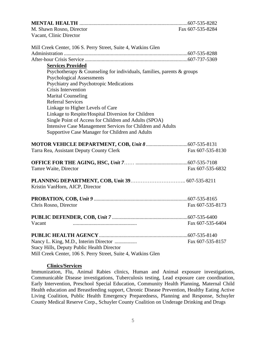| M. Shawn Rosno, Director                                                   | Fax 607-535-8284 |
|----------------------------------------------------------------------------|------------------|
| Vacant, Clinic Director                                                    |                  |
| Mill Creek Center, 106 S. Perry Street, Suite 4, Watkins Glen              |                  |
|                                                                            |                  |
|                                                                            |                  |
| <b>Services Provided</b>                                                   |                  |
| Psychotherapy $&$ Counseling for individuals, families, parents $&$ groups |                  |
| <b>Psychological Assessments</b>                                           |                  |
| Psychiatry and Psychotropic Medications                                    |                  |
| Crisis Intervention                                                        |                  |
| <b>Marital Counseling</b>                                                  |                  |
| <b>Referral Services</b>                                                   |                  |
| Linkage to Higher Levels of Care                                           |                  |
| Linkage to Respite/Hospital Diversion for Children                         |                  |
| Single Point of Access for Children and Adults (SPOA)                      |                  |
| Intensive Case Management Services for Children and Adults                 |                  |
| Supportive Case Manager for Children and Adults                            |                  |
|                                                                            |                  |
| Tarra Rea, Assistant Deputy County Clerk                                   | Fax 607-535-8130 |
|                                                                            |                  |
| Tamre Waite, Director                                                      | Fax 607-535-6832 |
| Kristin VanHorn, AICP, Director                                            |                  |
|                                                                            |                  |
| Chris Rosno, Director                                                      | Fax 607-535-8173 |
|                                                                            |                  |
| Vacant                                                                     | Fax 607-535-6404 |
|                                                                            |                  |
| Nancy L. King, M.D., Interim Director                                      | Fax 607-535-8157 |
| <b>Stacy Hills, Deputy Public Health Director</b>                          |                  |
| Mill Creek Center, 106 S. Perry Street, Suite 4, Watkins Glen              |                  |

#### **Clinics/Services**

Immunization, Flu, Animal Rabies clinics, Human and Animal exposure investigations, Communicable Disease investigations, Tuberculosis testing, Lead exposure care coordination, Early Intervention, Preschool Special Education, Community Health Planning, Maternal Child Health education and Breastfeeding support, Chronic Disease Prevention, Healthy Eating Active Living Coalition, Public Health Emergency Preparedness, Planning and Response, Schuyler County Medical Reserve Corp., Schuyler County Coalition on Underage Drinking and Drugs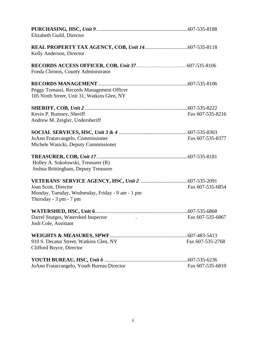| Elizabeth Guild, Director                                                                                              |                  |
|------------------------------------------------------------------------------------------------------------------------|------------------|
| Kelly Anderson, Director                                                                                               |                  |
| Fonda Chronis, County Administrator                                                                                    |                  |
| Peggy Tomassi, Records Management Officer<br>105 Ninth Street, Unit 31, Watkins Glen, NY                               |                  |
| Kevin P. Rumsey, Sheriff<br>Andrew M. Zeigler, Undersheriff                                                            | Fax 607-535-8216 |
| JoAnn Fratarcangelo, Commissioner<br>Michele Wasicki, Deputy Commissioner                                              | Fax 607-535-8377 |
| Holley A. Sokolowski, Treasurer (R)<br>Joshua Brittingham, Deputy Treasurer                                            |                  |
| Joan Scott, Director<br>Monday, Tuesday, Wednesday, Friday - 9 am - 1 pm<br>Thursday - $3 \text{ pm}$ - $7 \text{ pm}$ | Fax 607-535-6854 |
| Darrel Sturges, Watershed Inspector<br>Josh Cole, Assistant                                                            | Fax 607-535-6867 |
| 910 S. Decatur Street, Watkins Glen, NY<br>Clifford Boyce, Director                                                    | Fax 607-535-2768 |
| JoAnn Fratarcangelo, Youth Bureau Director                                                                             | Fax 607-535-6810 |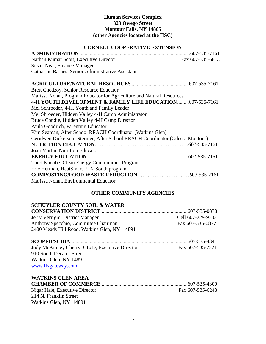### **Human Services Complex 323 Owego Street Montour Falls, NY 14865 (other Agencies located at the HSC)**

### **CORNELL COOPERATIVE EXTENSION**

|                                                                               | .607-535-7161    |
|-------------------------------------------------------------------------------|------------------|
| Nathan Kumar Scott, Executive Director                                        | Fax 607-535-6813 |
| Susan Neal, Finance Manager                                                   |                  |
| Catharine Barnes, Senior Administrative Assistant                             |                  |
|                                                                               |                  |
| Brett Chedzoy, Senior Resource Educator                                       |                  |
| Marissa Nolan, Program Educator for Agriculture and Natural Resources         |                  |
| <b>4-H YOUTH DEVELOPMENT &amp; FAMILY LIFE EDUCATION607-535-7161</b>          |                  |
| Mel Schroeder, 4-H, Youth and Family Leader                                   |                  |
| Mel Shroeder, Hidden Valley 4-H Camp Administrator                            |                  |
| Bruce Condie, Hidden Valley 4-H Camp Director                                 |                  |
| Paula Goodrich, Parenting Educator                                            |                  |
| Kim Seaman, After School REACH Coordinator (Watkins Glen)                     |                  |
| Ceridwen Dickerson - Stermer, After School REACH Coordinator (Odessa Montour) |                  |
|                                                                               |                  |
| Joan Martin, Nutrition Educator                                               |                  |
|                                                                               |                  |
| Todd Knobbe, Clean Energy Communities Program                                 |                  |
| Eric Herman, HeatSmart FLX South program                                      |                  |
|                                                                               |                  |
| Marissa Nolan, Environmental Educator                                         |                  |

### **OTHER COMMUNITY AGENCIES**

### **SCHUYLER COUNTY SOIL & WATER**

Watkins Glen, NY 14891

| Jerry Verrigni, District Manager             | Cell 607-229-9332 |
|----------------------------------------------|-------------------|
| Anthony Specchio, Committee Chairman         | Fax 607-535-0877  |
| 2400 Meads Hill Road, Watkins Glen, NY 14891 |                   |

| Judy McKinney Cherry, CEcD, Executive Director | Fax 607-535-7221 |
|------------------------------------------------|------------------|
| 910 South Decatur Street                       |                  |
| Watkins Glen, NY 14891                         |                  |
| www.flxgateway.com                             |                  |

| <b>WATKINS GLEN AREA</b>       |                  |
|--------------------------------|------------------|
|                                |                  |
| Nigar Hale, Executive Director | Fax 607-535-6243 |
| 214 N. Franklin Street         |                  |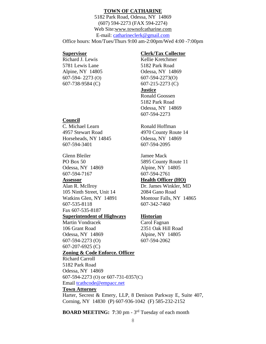### **TOWN OF CATHARINE**

5182 Park Road, Odessa, NY 14869 (607) 594-2273 (FAX 594-2274) Web Site[:www.townofcatharine.com](http://www.townofcatharine.com/) E-mail: [catharineclerk@gmail.com](mailto:catharineclerk@gmail.com) Office hours: Mon/Tues/Thurs 9:00 am-2:00pm/Wed 4:00 -7:00pm

Richard J. Lewis Kellie Kretchmer 5781 Lewis Lane 5182 Park Road 607-594- 2273 (O) 607-594-2273(O) 607-738-9584 (C) 607-215-2273 (C)

### **Supervisor Clerk/Tax Collector**

Alpine, NY 14805 Odessa, NY 14869

### **Justice**

Ronald Goossen 5182 Park Road Odessa, NY 14869 607-594-2273

PO Box 50 5895 County Route 11 Odessa, NY 14869 Alpine, NY 14805

### **Assessor Health Officer (HO)**

### **Council**

C. Michael Learn Ronald Hoffman 4957 Stewart Road 4970 County Route 14 Horseheads, NY 14845 Odessa, NY 14869 607-594-3401 607-594-2095

Glenn Bleiler Jamee Mack 607-594-7167 607-594-2761

Alan R. McIlroy Dr. James Winkler, MD 105 Ninth Street, Unit 14 2084 Gano Road Watkins Glen, NY 14891 Montour Falls, NY 14865 607-535-8118 607-342-7460 Fax 607-535-8187

### **Superintendent of Highways Historian**

Martin Vondracek Carol Fagnan 106 Grant Road 2351 Oak Hill Road Odessa, NY 14869 Alpine, NY 14805 607-594-2273 (O) 607-594-2062 607-207-6925 (C)

### **Zoning & Code Enforce. Officer**

Richard Carroll 5182 Park Road Odessa, NY 14869 607-594-2273 (O) or 607-731-0357(C) Email [tcathcode@empacc.net](mailto:tcathcode@empacc.net)

### **Town Attorney**

Harter, Secrest & Emery, LLP, 8 Denison Parkway E, Suite 407, Corning, NY 14830 (P) 607-936-1042 (F) 585-232-2152

**BOARD MEETING:** 7:30 pm - 3<sup>rd</sup> Tuesday of each month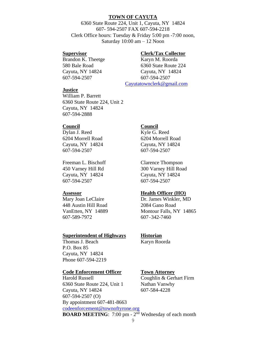### **TOWN OF CAYUTA**

6360 State Route 224, Unit 1, Cayuta, NY 14824 607- 594-2507 FAX 607-594-2218 Clerk Office hours: Tuesday & Friday 5:00 pm -7:00 noon, Saturday 10:00 am – 12 Noon

#### **Supervisor Clerk/Tax Collector**

Brandon K. Theetge Karyn M. Roorda 580 Bale Road 6360 State Route 224 Cayuta, NY 14824 Cayuta, NY 14824 607-594-2507 607-594-2507 [Cayutatownclerk@gmail.com](mailto:Cayutatownclerk@gmail.com)

#### **Justice**

William P. Barrett 6360 State Route 224, Unit 2 Cayuta, NY 14824 607-594-2888

Dylan J. Reed Kyle G. Reed Cayuta, NY 14824 Cayuta, NY 14824 607-594-2507 607-594-2507

Freeman L. Bischoff Clarence Thompson Cayuta, NY 14824 Cayuta, NY 14824 607-594-2507 607-594-2507

Mary Joan LeClaire Dr. James Winkler, MD 448 Austin Hill Road 2084 Gano Road 607-589-7972 607-342-7460

#### **Superintendent of Highways Historian**

Thomas J. Beach Karyn Roorda P.O. Box 85 Cayuta, NY 14824 Phone 607-594-2219

#### **Code Enforcement Officer Town Attorney**

Harold Russell Coughlin & Gerhart Firm 6360 State Route 224, Unit 1 Nathan Vanwhy Cayuta, NY 14824 607-584-4228 607-594-2507 (O) By appointment 607-481-8663 [codeenforcement@townoftyrone.org](mailto:codeenforcement@townoftyrone.org) **BOARD MEETING**: 7:00 pm - 2<sup>nd</sup> Wednesday of each month

### **Council Council**

6204 Morrell Road 6204 Morrell Road

450 Varney Hill Rd 300 Varney Hill Road

### **Assessor Health Officer (HO)**

VanEtten, NY 14889 Montour Falls, NY 14865

9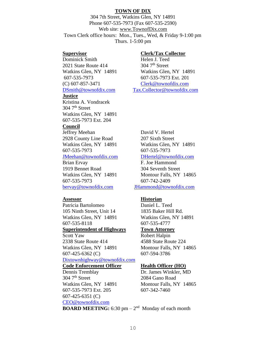### **TOWN OF DIX**

304 7th Street, Watkins Glen, NY 14891 Phone 607-535-7973 (Fax 607-535-2590) Web site: [www.TownofDix.com](http://www.townofdix.com/) Town Clerk office hours: Mon., Tues., Wed, & Friday 9-1:00 pm Thurs. 1-5:00 pm

Dominick Smith Helen J. Teed 2021 State Route  $414$  304  $7<sup>th</sup>$  Street 607-535-7973 607-535-7973 Ext. 201 (C) 607-857-3471 [Clerk@townofdix.com](mailto:Clerk@townofdix.com)

#### **Justice**

Kristina A. Vondracek 304 7<sup>th</sup> Street Watkins Glen, NY 14891 607-535-7973 Ext. 204

### **Council**

Jeffrey Meehan David V. Hertel 2928 County Line Road 207 Sixth Street 607-535-7973 607-535-7973

### [JMeehan@townofdix.com](mailto:JMeehan@townofdix.com) [DHertel@townofdix.com](mailto:DHertel@townofdix.com)

Brian Ervay F. Joe Hammond 1919 Bennet Road 304 Seventh Street 607-535-7973 607-742-2409 [bervay@townofdix.com](mailto:bervay@townofdix.com) [JHammond@townofdix.com](mailto:JHammond@townofdix.com)

Patricia Bartolomeo Daniel L. Teed 105 Ninth Street, Unit 14 1835 Baker Hill Rd. Watkins Glen, NY 14891 Watkins Glen, NY 14891 607-535-8118 607-535-4777

### **Superintendent of Highways Town Attorney**

Scott Yaw Robert Halpin 2338 State Route 414 4588 State Route 224 Watkins Glen, NY 14891 Montour Falls, NY 14865 607-425-6362 (C) 607-594-3786 [Dixtownhighway@townofdix.com](mailto:Dixtownhighway@townofdix.com)

#### **Code Enforcement Officer Health Officer (HO)**

Dennis Tremblay Dr. James Winkler, MD 304 7th Street 2084 Gano Road Watkins Glen, NY 14891 Montour Falls, NY 14865 607-535-7973 Ext. 205 607-342-7460 607-425-6351 (C) [CEO@townofdix.com](mailto:CEO@townofdix.com)

#### **Supervisor Clerk/Tax Collector**

Watkins Glen, NY 14891 Watkins Glen, NY 14891 [DSmith@townofdix.com](mailto:DSmith@townofdix.com) [Tax.Collector@townofdix.com](mailto:Tax.Collector@townofdix.com)

Watkins Glen, NY 14891 Watkins Glen, NY 14891

Watkins Glen, NY 14891 Montour Falls, NY 14865

### **Assessor Historian**

**BOARD MEETING:** 6:30 pm  $- 2<sup>nd</sup>$  Monday of each month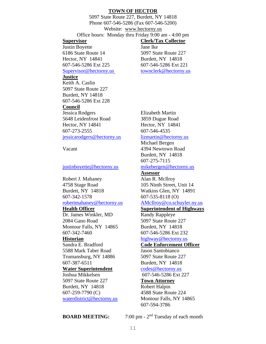#### **TOWN OF HECTOR**

5097 State Route 227, Burdett, NY 14818 Phone 607-546-5286 (Fax 607-546-5200) Website: [www.hectorny.us](http://www.hectorny.us/) Office hours: Monday thru Friday 9:00 am - 4:00 pm **Supervisor Clerk/Tax Collector** Justin Boyette Jane Ike 6186 State Route 14 5097 State Route 227 Hector, NY 14841 Burdett, NY 14818 607-546-5286 Ext 225 607-546-5286 Ext 221 [Supervisor@hectorny.us](mailto:Supervisor@hectorny.us) [townclerk@hectorny.us](mailto:townclerk@hectorny.us) **Justice** Keith A. Caslin 5097 State Route 227 Burdett, NY 14818 607-546-5286 Ext 228 **Council**

Jessica Rodgers Elizabeth Martin 5648 Leidenfrost Road 3859 Dugue Road Hector, NY 14841 **Hector**, NY 14841 607-273-2555 607-546-4535 [jessicarodgers@hectorny.us](mailto:jessica@jessicarodgers.net) [lizmartin@hectorny.us](mailto:lizmartin@hectorny.us)

[justinboyette@hectorny.us](mailto:justinboyette@hectorny.us) [mikebergen@hectorny.us](mailto:bergen.farm@gmail.com)

Robert J. Mahaney Alan R. McIlroy 4758 Stage Road 105 Ninth Street, Unit 14 Burdett, NY 14818 Watkins Glen, NY 14891 607-342-1578 607-535-8118 (O)

### [robertmahaney@hectorny.us](mailto:robertmahaney@hectorny.us) [AMcIlroy@co.schuyler.ny.us](mailto:AMcIlroy@co.schuyler.ny.us)

Dr. James Winkler, MD Randy Rappleye 2084 Gano Road 5097 State Route 227 Montour Falls, NY 14865 Burdett, NY 14818 607-342-7460 607-546-5286 Ext 232

5588 Mark Taber Road Jason Santobianco Trumansburg, NY 14886 5097 State Route 227 607-387-6511 Burdett, NY 14818

### **Water Superintendent** codes @hectorny.us

5097 State Route 227 **Town Attorney** Burdett, NY 14818 Robert Halpin 607-259-7790 (C) 4588 State Route 224 [waterdistrict@hectorny.us](mailto:waterdistrict@hectorny.us) Montour Falls, NY 14865

Michael Bergen Vacant 4394 Newtown Road Burdett, NY 14818 607-275-7115

### **Assessor**

## **Health Officer Superintendent of Highways**

**Historian** [highway@hectorny.us](mailto:highway@hectorny.us)

#### Sandra E. Bradford **Code Enforcement Officer**

### Joshua Mikkelsen 607-546-5286 Ext 227

607-594-3786

**BOARD MEETING:** 

7:00 pm -  $2<sup>nd</sup>$  Tuesday of each month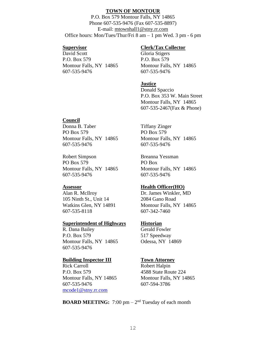#### **TOWN OF MONTOUR**

P.O. Box 579 Montour Falls, NY 14865 Phone 607-535-9476 (Fax 607-535-8897) E-mail: [mtownhall1@stny.rr.com](mailto:mtownhall1@stny.rr.com)  Office hours: Mon/Tues/Thur/Fri 8 am – 1 pm Wed. 3 pm - 6 pm

David Scott Gloria Stigers P.O. Box 579 P.O. Box 579 Montour Falls, NY 14865 Montour Falls, NY 14865 607-535-9476 607-535-9476

#### **Supervisor Clerk/Tax Collector**

#### **Justice**

Donald Spaccio P.O. Box 353 W. Main Street Montour Falls, NY 14865 607-535-2467(Fax & Phone)

#### **Council**

Donna B. Taber Tiffany Zinger PO Box 579 PO Box 579 Montour Falls, NY 14865 Montour Falls, NY 14865 607-535-9476 607-535-9476

Robert Simpson Breanna Yessman PO Box 579 PO Box Montour Falls, NY 14865 Montour Falls, NY 14865 607-535-9476 607-535-9476

Alan R. McIlroy Dr. James Winkler, MD 105 Ninth St., Unit 14 2084 Gano Road 607-535-8118 607-342-7460

#### **Superintendent of Highways Historian**

R. Dana Bailey Gerald Fowler P.O. Box 579 517 Speedway Montour Falls, NY 14865 Odessa, NY 14869 607-535-9476

#### **Building Inspector III Town Attorney**

Rick Carroll Robert Halpin P.O. Box 579 4588 State Route 224 Montour Falls, NY 14865 Montour Falls, NY 14865 607-535-9476 607-594-3786 [mcode1@stny.rr.com](mailto:mcode1@stny.rr.com)

#### **Assessor Health Officer(HO)**

Watkins Glen, NY 14891 Montour Falls, NY 14865

**BOARD MEETING:**  $7:00 \text{ pm} - 2^{\text{nd}}$  Tuesday of each month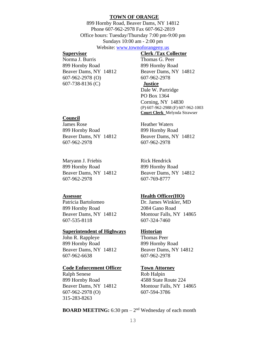#### **TOWN OF ORANGE**

899 Hornby Road, Beaver Dams, NY 14812 Phone 607-962-2978 Fax 607-962-2819 Office hours: Tuesday/Thursday 7:00 pm-9:00 pm Sundays 10:00 am - 2:00 pm

### Website: [www.townoforangeny.us](http://www.townoforangeny.us/)

Norma J. Burris Thomas G. Peer 899 Hornby Road 899 Hornby Road Beaver Dams, NY 14812 Beaver Dams, NY 14812 607-962-2978 (O) 607-962-2978 607-738-8136 (C) **Justice**

## **Supervisor Clerk /Tax Collector**

Dale W. Partridge PO Box 1364 Corning, NY 14830 (P) 607-962-2988 (F) 607-962-1003 **Court Clerk** Melynda Strawser

#### **Council**

James Rose Heather Waters 899 Hornby Road 899 Hornby Road Beaver Dams, NY 14812 Beaver Dams, NY 14812 607-962-2978 607-962-2978

Maryann J. Friebis Rick Hendrick 899 Hornby Road 899 Hornby Road Beaver Dams, NY 14812 Beaver Dams, NY 14812 607-962-2978 607-769-8777

Patricia Bartolomeo Dr. James Winkler, MD 899 Hornby Road 2084 Gano Road 607-535-8118 607-324-7460

#### **Superintendent of Highways Historian**

John R. Rappleye Thomas Peer 899 Hornby Road 899 Hornby Road Beaver Dams, NY 14812 Beaver Dams, NY 14812 607-962-6638 607-962-2978

#### **Code Enforcement Officer Town Attorney**

Ralph Senese Rob Halpin 899 Hornby Road 4588 State Route 224 Beaver Dams, NY 14812 Montour Falls, NY 14865 607-962-2978 (O) 607-594-3786 315-283-8263

#### **Assessor Health Officer(HO)**

Beaver Dams, NY 14812 Montour Falls, NY 14865

**BOARD MEETING:** 6:30 pm – 2<sup>nd</sup> Wednesday of each month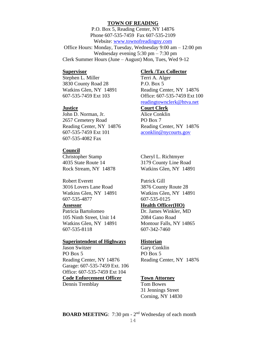#### **TOWN OF READING**

P.O. Box 5, Reading Center, NY 14876 Phone 607-535-7459 Fax 607-535-2109 Website: [www.townofreadingny.com](http://www.townofreadingny.com/) Office Hours: Monday, Tuesday, Wednesday 9:00 am – 12:00 pm Wednesday evening 5:30 pm – 7:30 pm Clerk Summer Hours (June – August) Mon, Tues, Wed 9-12

Stephen L. Miller Terri A. Alger 3830 County Road 28 P.O. Box 5

John D. Norman, Jr. Alice Conklin 2657 Cemetery Road PO Box 7 Reading Center, NY 14876 Reading Center, NY 14876 607-535-7459 Ext 101 [aconklin@nycourts.gov](mailto:aconklin@nycourts.gov) 607-535-4082 Fax

### **Council**

Christopher Stamp Cheryl L. Richtmyer 4035 State Route 14 3179 County Line Road

Robert Everett Patrick Gill 3016 Lovers Lane Road 3876 County Route 28 607-535-4877 607-535-0125

Patricia Bartolomeo Dr. James Winkler, MD 105 Ninth Street, Unit 14 2084 Gano Road Watkins Glen, NY 14891 Montour Falls, NY 14865 607-535-8118 607-342-7460

#### **Superintendent of Highways Historian**

Jason Switzer Gary Conklin PO Box 5 PO Box 5 Reading Center, NY 14876 Reading Center, NY 14876 Garage: 607-535-7459 Ext. 106 Office: 607-535-7459 Ext 104 **Code Enforcement Officer Town Attorney** Dennis Tremblay Tom Bowes

### **Supervisor Clerk /Tax Collector**

Watkins Glen, NY 14891 Reading Center, NY 14876 607-535-7459 Ext 103 Office: 607-535-7459 Ext 100 [readingtownclerk@htva.net](mailto:readingtownclerk@htva.net)

### **Justice Court Clerk**

Rock Stream, NY 14878 Watkins Glen, NY 14891

Watkins Glen, NY 14891 Watkins Glen, NY 14891

### **Assessor Health Officer(HO)**

31 Jennings Street Corning, NY 14830

**BOARD MEETING**: 7:30 pm - 2<sup>nd</sup> Wednesday of each month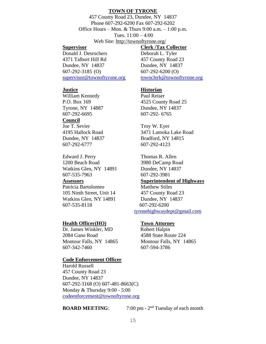#### **TOWN OF TYRONE**

457 County Road 23, Dundee, NY 14837 Phone 607-292-6200 Fax 607-292-6202 Office Hours – Mon. & Thurs  $9:00$  a.m. –  $1:00$  p.m. Tues. 11:00 – 4:00 Web Site:<http://townoftyrone.org/>

Donald J. Desrochers Deborah L. Tyler 4371 Talbort Hill Rd 457 County Road 23 Dundee, NY 14837 Dundee, NY 14837 607-292-3185 (O) 607-292-6200 (O) [supervisor@townoftyrone.org](mailto:supervisor@townoftyrone.org) [townclerk@townoftyrone.org](mailto:townclerk@townoftyrone.org)

**Supervisor Clerk /Tax Collector**

William Kennedy Paul Reiser 607-292-6695 607-292- 6765

#### **Council**

Joe T. Sevier Troy W. Eyer 607-292-6777 607-292-4123

Edward J. Perry Thomas R. Allen 1200 Beach Road 3980 DeCamp Road Watkins Glen, NY 14891 Dundee, NY 14837 607-535-7963 607-292-3981

Patricia Bartolomeo Matthew Stiles 105 Ninth Street, Unit 14 457 County Road 23 Watkins Glen, NY 14891 Dundee, NY 14837 607-535-8118 607-292-6200

#### **Health Officer(HO) Town Attorney**

Dr. James Winkler, MD Robert Halpin 2084 Gano Road 4588 State Route 224 607-342-7460 607-594-3786

#### **Code Enforcement Officer**

Harold Russell 457 County Road 23 Dundee, NY 14837 607-292-3168 (O) 607-481-8663(C) Monday & Thursday 9:00 - 5:00 [codeenforcement@townoftyrone.org](mailto:codeenforcement@townoftyrone.org)

#### **BOARD MEETING:**

7:00 pm -  $2<sup>nd</sup>$  Tuesday of each month

#### **Justice Historian**

P.O. Box 169 4525 County Road 25 Tyrone, NY 14887 Dundee, NY 14837

4195 Hallock Road 3471 Lamoka Lake Road Dundee, NY 14837 Bradford, NY 14815

**Assessors Superintendent of Highways**

[tyronehighwaydept@gmail.com](mailto:tyronehighwaydept@gmail.com)

Montour Falls, NY 14865 Montour Falls, NY 14865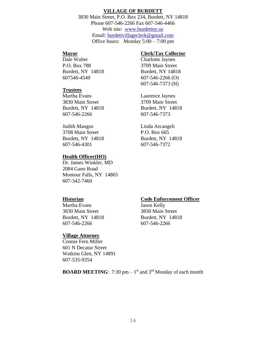#### **VILLAGE OF BURDETT**

3830 Main Street, P.O. Box 234, Burdett, NY 14818 Phone 607-546-2266 Fax 607-546-4466 Web site: [www.burdettny.us](http://www.burdettny.us/) Email: [burdettvillageclerk@gmail.com](mailto:burdettvillageclerk@gmail.com) Office hours: Monday 5:00 – 7:00 pm

Dale Walter Charlotte Jaynes P.O. Box 788 3709 Main Street Burdett, NY 14818 Burdett, NY 14818 607546-4549 607-546-2266 (O)

#### **Trustees**

Martha Evans Laurence Jaynes 3830 Main Street 3709 Main Street 607-546-2266 607-546-7373

Judith Mangus Linda Arcangeli 3708 Main Street P.O. Box 665 Burdett, NY 14818 Burdett, NY 14818 607-546-4301 607-546-7372

#### **Health Officer(HO)**

Dr. James Winkler, MD 2084 Gano Road Montour Falls, NY 14865 607-342-7460

### **Mayor Clerk/Tax Collector**

607-546-7373 (H)

Burdett, NY 14818 Burdett, NY 14818

Martha Evans Jason Kelly 3830 Main Street 3830 Main Street Burdett, NY 14818 Burdett, NY 14818 607-546-2266 607-546-2266

#### **Village Attorney**

Connie Fern Miller 601 N Decatur Street Watkins Glen, NY 14891 607-535-9354

### **Historian Code Enforcement Officer**

**BOARD MEETING**:  $7:30 \text{ pm} - 1^{\text{st}}$  and  $3^{\text{rd}}$  Monday of each month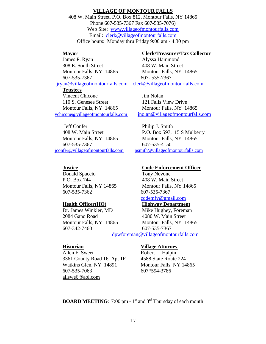### **VILLAGE OF MONTOUR FALLS**

408 W. Main Street, P.O. Box 812, Montour Falls, NY 14865 Phone 607-535-7367 Fax 607-535-7076) Web Site: [www.villageofmontourfalls.com](http://www.villageofmontourfalls.com/) Email: [clerk@villageofmontourfalls.com](mailto:clerk@villageofmontourfalls.com) Office hours: Monday thru Friday 9:00 am - 4:30 pm

James P. Ryan Alyssa Hammond 308 E. South Street 408 W. Main Street Montour Falls, NY 14865 Montour Falls, NY 14865 607-535-7367 607- 535-7367

#### **Trustees**

Vincent Chicone Jim Nolan 110 S. Genesee Street 121 Falls View Drive Montour Falls, NY 14865 Montour Falls, NY 14865

Jeff Confer Philip J. Smith Montour Falls, NY 14865 Montour Falls, NY 14865 607-535-7367 607-535-4150 [jconfer@villageofmontourfalls.com](mailto:jconfer@villageofmontourfalls.com) [psmith@villageofmontourfalls.com](mailto:psmith@villageofmontourfalls.com)

Donald Spaccio Tony Nevone P.O. Box 744 408 W. Main Street 607-535-7362 607-535-7367

2084 Gano Road 4080 W. Main Street 607-342-7460 607-535-7367

Allen F. Sweet Robert L. Halpin 3361 County Road 16, Apt 1F 4588 State Route 224 Watkins Glen, NY 14891 Montour Falls, NY 14865 607-535-7063 607\*594-3786 [allswe6@aol.com](mailto:allswe6@aol.com)

#### **Mayor Clerk/Treasurer/Tax Collector**

[jryan@villageofmontourfalls.com](mailto:jryan@villageofmontourfalls.com) [clerk@villageofmontourfalls.com](mailto:clerk@villageofmontourfalls.com)

[vchicone@villageofmontourfalls.com](mailto:vchicone@villageofmontourfalls.com) jnolan@villageofmontourfalls.com

408 W. Main Street P.O. Box 597,115 S Mulberry

#### **Justice Code Enforcement Officer**

Montour Falls, NY 14865 Montour Falls, NY 14865 [codemfv@gmail.com](mailto:dpw@villageofmontourfalls.com)

### **Health Officer(HO) Highway Department**

Dr. James Winkler, MD Mike Hughey, Foreman Montour Falls, NY 14865 Montour Falls, NY 14865

[dpwforeman@villageofmontourfalls.com](mailto:dpwforeman@villageofmontourfalls.com)

#### **Historian Village Attorney**

**BOARD MEETING**: 7:00 pm - 1<sup>st</sup> and 3<sup>rd</sup> Thursday of each month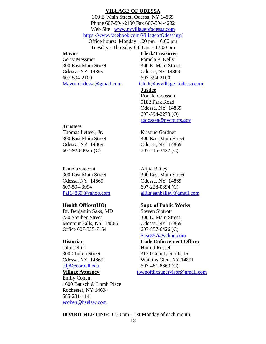#### **VILLAGE OF ODESSA**

300 E. Main Street, Odessa, NY 14869 Phone 607-594-2100 Fax 607-594-4282 Web Site: [www.nyvillageofodessa.com](http://www.nyvillageofodessa.com/) <https://www.facebook.com/VillageofOdessany/> Office hours: Monday 1:00 pm – 6:00 pm Tuesday - Thursday 8:00 am - 12:00 pm

### **Mayor Clerk/Treasurer**

Gerry Messmer Pamela P. Kelly 300 East Main Street 300 E. Main Street Odessa, NY 14869 Odessa, NY 14869 607-594-2100 607-594-2100 [Mayorofodessa@gmail.com](mailto:Mayorofodessa@gmail.com) [Clerk@nyvillageofodessa.com](mailto:Clerk@nyvillageofodessa.com)

#### **Justice**

Ronald Goossen 5182 Park Road Odessa, NY 14869 607-594-2273 (O) [rgoossen@nycourts.gov](mailto:rgoossen@nycourts.gov)

### **Trustees**

Thomas Letteer, Jr. Kristine Gardner Odessa, NY 14869 Odessa, NY 14869 607-923-0026 (C) 607-215-3422 (C)

Pamela Cicconi Alijia Bailey 300 East Main Street 300 East Main Street Odessa, NY 14869 Odessa, NY 14869 607-594-3994 607-228-0394 (C)

Dr. Benjamin Saks, MD Steven Siptrott 230 Steuben Street 300 E. Main Street Montour Falls, NY 14865 Odessa, NY 14869 Office 607-535-7154 607-857-6426 (C)

John Jelliff Harold Russell [Jdj8@cornell.edu](mailto:Jdj8@cornell.edu) 607-481-8663 (C)

Emily Cohen 1600 Bausch & Lomb Place Rochester, NY 14604 585-231-1141 [ecohen@hselaw.com](mailto:ecohen@hselaw.com)

300 East Main Street 300 East Main Street

[Paf14869@yahoo.com](mailto:Paf14869@yahoo.com) [alijiajeanbailey@gmail.com](mailto:alijiajeanbailey@gmail.com)

### **Health Officer(HO) Supt. of Public Works**

Scsc857@yahoo.com

### **Historian Code Enforcement Officer**

300 Church Street 3130 County Route 16 Odessa, NY 14869 Watkins Glen, NY 14891 **Village Attorney** [townofdixsupervisor@gmail.com](mailto:townofdixsupervisor@gmail.com)

**BOARD MEETING**: 6:30 pm – 1st Monday of each month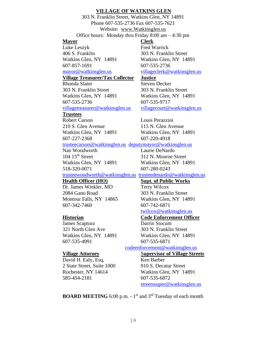#### **VILLAGE OF WATKINS GLEN**

303 N. Franklin Street, Watkins Glen, NY 14891 Phone 607-535-2736 Fax 607-535-7621 Website: [www.Watkinsglen.us](http://www.watkinsglen.us/) Office hours: Monday thru Friday 8:00 am – 4:30 pm

#### **Mayor Clerk**

Luke Leszyk Fred Warrick 406 S. Franklin 303 N. Franklin Street Watkins Glen, NY 14891 Watkins Glen, NY 14891 607-857-1691 607-535-2736

### **Village Treasurer/Tax Collector Justice**

Rhonda Slater Steven Decker 303 N. Franklin Street 303 N. Franklin Street Watkins Glen, NY 14891 Watkins Glen, NY 14891 607-535-2736 607-535-9717

#### **Trustees**

Robert Carson Louis Perazzini 210 S. Glen Avenue 115 N. Glen Avenue Watkins Glen, NY 14891 Watkins Glen, NY 14891 607-227-2368 607-220-4918

#### [trusteecarson@watkinsglen.us](mailto:trusteecarson@watkinsglen.us) [deputymayor@watkinsglen.us](mailto:deputymayor@watkinsglen.us)

Nan Woodworth Laurie DeNardo 104 15<sup>th</sup> Street 312 N. Monroe Street Watkins Glen, NY 14891 Watkins Glen, NY 14891 518-320-0071 607-280-0243

Dr. James Winkler, MD Terry Wilcox 2084 Gano Road 303 N. Franklin Street Montour Falls, NY 14865 Watkins Glen, NY 14891 607-342-7460 607-742-6871

**James Scaptura** Darrin Stocum 321 North Glen Ave 303 N. Franklin Street 607-535-4991 607-535-6871

#### [codeenforcement@watkinsglen.us](mailto:codeenforcement@watkinsglen.us) **Village Attorney** S**upervisor of Village Streets**

### David H. Ealy, Esq, Ken Barber 2 State Street, Suite 1000 910 S. Decatur Street Rochester, NY 14614 Watkins Glen, NY 14891 585-454-2181 607-535-6872

[streetssuper@watkinsglen.us](mailto:streetssuper@watkinsglen.us)

**BOARD MEETING** 6:00 p.m. - 1<sup>st</sup> and 3<sup>rd</sup> Tuesday of each month

[mayor@watkinsglen.us](mailto:mayor@watkinsglen.us) [villageclerk@watkinsglen.us](mailto:villageclerk@watkinsglen.us)

[villagetreasurer@watkinsglen.us](mailto:villagetreasurer@watkinsglen.us) [villagecourt@watkinsglen.us](mailto:villagecourt@watkinsglen.us)

[trusteewoodworth@watkinsglen.us](mailto:trusteewoodworth@watkinsglen.us) [trusteedenardo@watkinsglen.us](mailto:trusteedenardo@watkinsglen.us)

### **Health Officer (HO) Supt. of Public Works**

### [twilcox@watkinsglen.us](mailto:twilcox@watkinsglen.us)

### **Historian Code Enforcement Officer**

Watkins Glen, NY 14891 Watkins Glen, NY 14891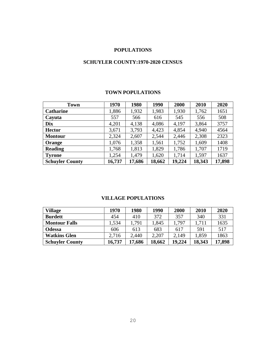### **POPULATIONS**

## **SCHUYLER COUNTY:1970-2020 CENSUS**

### **TOWN POPULATIONS**

| <b>Town</b>            | 1970   | 1980   | 1990   | 2000   | 2010   | 2020   |
|------------------------|--------|--------|--------|--------|--------|--------|
| <b>Catharine</b>       | 1,886  | 1,932  | 1,983  | 1,930  | 1,762  | 1651   |
| Cayuta                 | 557    | 566    | 616    | 545    | 556    | 508    |
| <b>Dix</b>             | 4,201  | 4,138  | 4,086  | 4,197  | 3,864  | 3757   |
| <b>Hector</b>          | 3,671  | 3,793  | 4,423  | 4,854  | 4,940  | 4564   |
| <b>Montour</b>         | 2,324  | 2,607  | 2,544  | 2,446  | 2,308  | 2323   |
| Orange                 | 1,076  | 1,358  | 1,561  | 1,752  | 1,609  | 1408   |
| <b>Reading</b>         | 1,768  | 1,813  | 1,829  | 1,786  | 1,707  | 1719   |
| <b>Tyrone</b>          | 1,254  | 1,479  | 1,620  | 1,714  | 1,597  | 1637   |
| <b>Schuyler County</b> | 16,737 | 17,686 | 18,662 | 19,224 | 18,343 | 17,898 |

### **VILLAGE POPULATIONS**

| <b>Village</b>         | 1970   | 1980   | 1990   | 2000   | 2010   | 2020   |
|------------------------|--------|--------|--------|--------|--------|--------|
| <b>Burdett</b>         | 454    | 410    | 372    | 357    | 340    | 331    |
| <b>Montour Falls</b>   | .534   | 1,791  | 1,845  | 1.797  | 1,711  | 1635   |
| <b>Odessa</b>          | 606    | 613    | 683    | 617    | 591    | 517    |
| <b>Watkins Glen</b>    | 2,716  | 2,440  | 2,207  | 2,149  | 1,859  | 1863   |
| <b>Schuyler County</b> | 16,737 | 17,686 | 18,662 | 19.224 | 18,343 | 17,898 |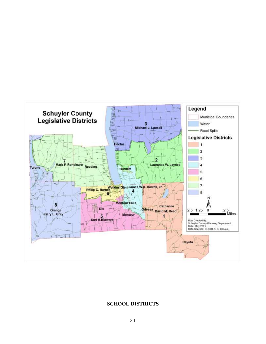

### **SCHOOL DISTRICTS**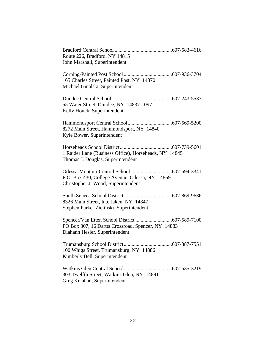| Route 226, Bradford, NY 14815                                                              |
|--------------------------------------------------------------------------------------------|
| John Marshall, Superintendent                                                              |
| 165 Charles Street, Painted Post, NY 14870<br>Michael Ginalski, Superintendent             |
| 55 Water Street, Dundee, NY 14837-1097<br>Kelly Houck, Superintendent                      |
| 8272 Main Street, Hammondsport, NY 14840<br>Kyle Bower, Superintendent                     |
| 1 Raider Lane (Business Office), Horseheads, NY 14845<br>Thomas J. Douglas, Superintendent |
| P.O. Box 430, College Avenue, Odessa, NY 14869<br>Christopher J. Wood, Superintendent      |
| 8326 Main Street, Interlaken, NY 14847<br>Stephen Parker Zielinski, Superintendent         |
| PO Box 307, 16 Dartts Crossroad, Spencer, NY 14883<br>Diahann Hesler, Superintendent       |
| 100 Whigs Street, Trumansburg, NY 14886<br>Kimberly Bell, Superintendent                   |
| 303 Twelfth Street, Watkins Glen, NY 14891<br>Greg Kelahan, Superintendent                 |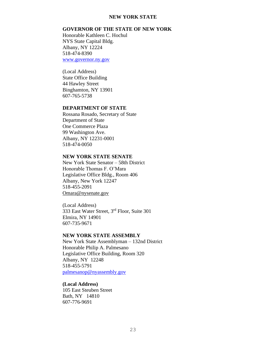### **NEW YORK STATE**

### **GOVERNOR OF THE STATE OF NEW YORK**

Honorable Kathleen C. Hochul NYS State Capital Bldg. Albany, NY 12224 518-474-8390 [www.governor.ny.gov](http://www.governor.ny.gov/)

(Local Address) State Office Building 44 Hawley Street Binghamton, NY 13901 607-765-5738

### **DEPARTMENT OF STATE**

Rossana Rosado, Secretary of State Department of State One Commerce Plaza 99 Washington Ave. Albany, NY 12231-0001 518-474-0050

#### **NEW YORK STATE SENATE**

New York State Senator – 58th District Honorable Thomas F. O'Mara Legislative Office Bldg., Room 406 Albany, New York 12247 518-455-2091 [Omara@nysenate.gov](mailto:Omara@nysenate.gov)

(Local Address) 333 East Water Street, 3rd Floor, Suite 301 Elmira, NY 14901 607-735-9671

### **NEW YORK STATE ASSEMBLY**

New York State Assemblyman – 132nd District Honorable Philip A. Palmesano Legislative Office Building, Room 320 Albany, NY 12248 518-455-5791 [palmesanop@nyassembly.gov](mailto:palmesanop@nyassembly.gov)

#### **(Local Address)**

105 East Steuben Street Bath, NY 14810 607-776-9691